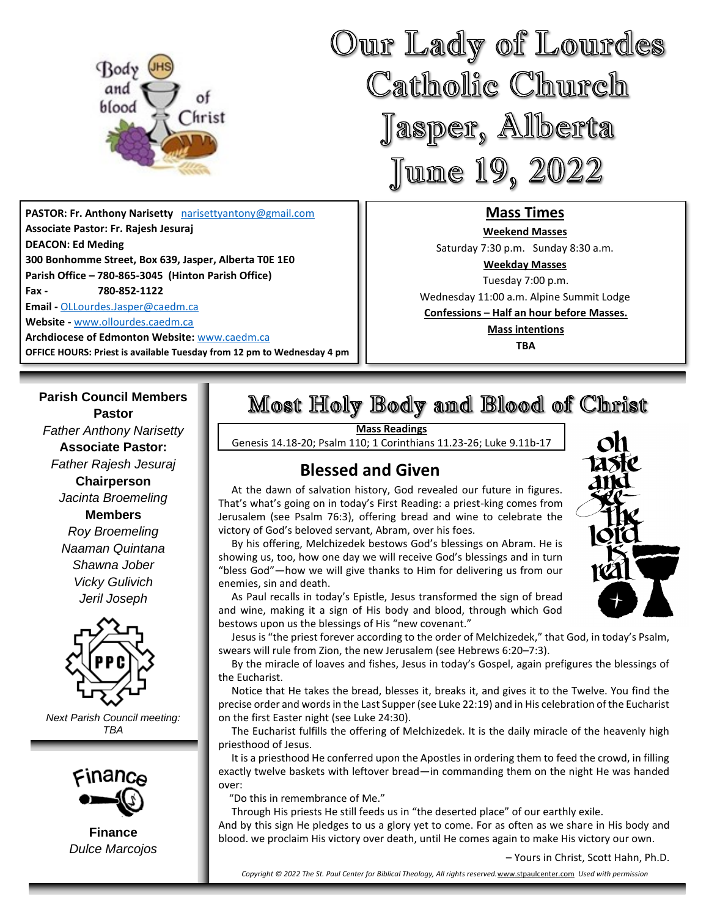

**PASTOR: Fr. Anthony Narisetty** [narisettyantony@gmail.com](mailto:narisettyantony@gmail.com) **Associate Pastor: Fr. Rajesh Jesuraj DEACON: Ed Meding 300 Bonhomme Street, Box 639, Jasper, Alberta T0E 1E0 Parish Office – 780-865-3045 (Hinton Parish Office) Fax - 780-852-1122 Email -** [OLLourdes.Jasper@caedm.ca](mailto:OLLourdes.Jasper@caedm.ca)

**Website -** [www.ollourdes.caedm.ca](http://www.ollourdes.caedm.ca/)

**Parish Council Members**

**Archdiocese of Edmonton Website:** [www.caedm.ca](http://www.caedm.ca/)  **OFFICE HOURS: Priest is available Tuesday from 12 pm to Wednesday 4 pm**

Our Lady of Lourdes Catholic Church Jasper, Alberta June 19, 2022

### **Mass Times**

**Weekend Masses**  Saturday 7:30 p.m. Sunday 8:30 a.m. **Weekday Masses** Tuesday 7:00 p.m. Wednesday 11:00 a.m. Alpine Summit Lodge **Confessions – Half an hour before Masses. Mass intentions TBA**

# Most Holy Body and Blood of Christ

**Mass Readings**

Genesis 14.18-20; Psalm 110; 1 Corinthians 11.23-26; Luke 9.11b-17

# **Blessed and Given**

 At the dawn of salvation history, God revealed our future in figures. That's what's going on in today's First Reading: a priest-king comes from Jerusalem (see Psalm 76:3), offering bread and wine to celebrate the victory of God's beloved servant, Abram, over his foes.

 By his offering, Melchizedek bestows God's blessings on Abram. He is showing us, too, how one day we will receive God's blessings and in turn "bless God"—how we will give thanks to Him for delivering us from our enemies, sin and death.

 As Paul recalls in today's Epistle, Jesus transformed the sign of bread and wine, making it a sign of His body and blood, through which God bestows upon us the blessings of His "new covenant."

 Jesus is "the priest forever according to the order of Melchizedek," that God, in today's Psalm, swears will rule from Zion, the new Jerusalem (see Hebrews 6:20–7:3).

 By the miracle of loaves and fishes, Jesus in today's Gospel, again prefigures the blessings of the Eucharist.

 Notice that He takes the bread, blesses it, breaks it, and gives it to the Twelve. You find the precise order and words in the Last Supper (see Luke 22:19) and in His celebration of the Eucharist on the first Easter night (see Luke 24:30).

 The Eucharist fulfills the offering of Melchizedek. It is the daily miracle of the heavenly high priesthood of Jesus.

 It is a priesthood He conferred upon the Apostles in ordering them to feed the crowd, in filling exactly twelve baskets with leftover bread—in commanding them on the night He was handed over:

"Do this in remembrance of Me."

Through His priests He still feeds us in "the deserted place" of our earthly exile.

And by this sign He pledges to us a glory yet to come. For as often as we share in His body and blood. we proclaim His victory over death, until He comes again to make His victory our own.

– Yours in Christ, Scott Hahn, Ph.D.

17SIC

*Copyright © 2022 The St. Paul Center for Biblical Theology, All rights reserved.*[www.stpaulcenter.com](http://www.stpaulcenter.com/) *Used with permission*

**Pastor** *Father Anthony Narisetty* **Associate Pastor:**  *Father Rajesh Jesuraj*  **Chairperson** *Jacinta Broemeling* **Members** *Roy Broemeling Naaman Quintana Shawna Jober Vicky Gulivich Jeril Joseph*



*Next Parish Council meeting: TBA*



**Finance** *Dulce Marcojos*